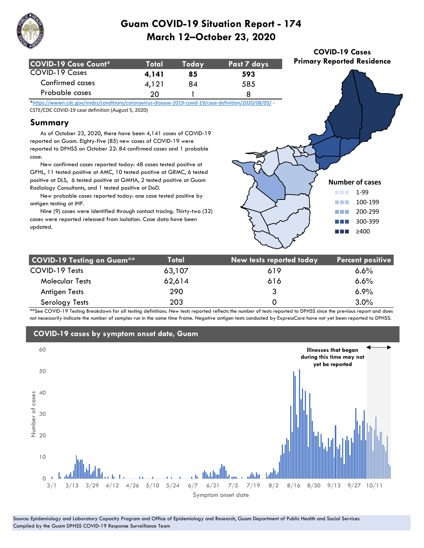

| COVID-19 Case Count* | <b>Total</b> | Todav | Past 7 days |
|----------------------|--------------|-------|-------------|
| COVID-19 Cases       | 4.141        | 85    | 593         |
| Confirmed cases      | 4.121        | 84    | 585         |
| Probable cases       | 20.          |       |             |

\*https://wwwn.cdc.gov/nndss/conditions/coronavirus-disease-2019-covid-19/case-definition/2020/08/05/ - CSTE/CDC COVID-19 case definition (August 5, 2020)

#### **Summary**

 As of October 23, 2020, there have been 4,141 cases of COVID-19 reported on Guam. Eighty-five (85) new cases of COVID-19 were reported to DPHSS on October 22: 84 confirmed cases and 1 probable case.

 New confirmed cases reported today: 48 cases tested positive at GPHL, 11 tested positive at AMC, 10 tested positive at GRMC, 6 tested positive at DLS, 6 tested positive at GMHA, 2 tested positive at Guam Radiology Consultants, and 1 tested positive at DoD.

 New probable cases reported today: one case tested positive by antigen testing at IHP.

 Nine (9) cases were identified through contact tracing. Thirty-two (32) cases were reported released from isolation. Case data have been updated.



**COVID-19 Cases Primary Reported Residence**

| <b>COVID-19 Testing on Guam**</b> | Total  | New tests reported today | <b>Percent positive</b> |
|-----------------------------------|--------|--------------------------|-------------------------|
| COVID-19 Tests                    | 63,107 | 619                      | $6.6\%$                 |
| <b>Molecular Tests</b>            | 62,614 | 616                      | 6.6%                    |
| Antigen Tests                     | 290    | 3                        | $6.9\%$                 |
| Serology Tests                    | 203    | O                        | 3.0%                    |

\*\*See COVID-19 Testing Breakdown for all testing definitions. New tests reported reflects the number of tests reported to DPHSS since the previous report and does not necessarily indicate the number of samples run in the same time frame. Negative antigen tests conducted by ExpressCare have not yet been reported to DPHSS.



#### **COVID-19 cases by symptom onset date, Guam**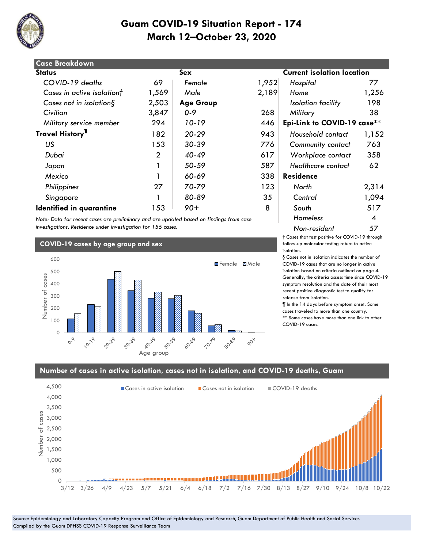

| <b>Case Breakdown</b>        |                |                  |       |                                   |       |
|------------------------------|----------------|------------------|-------|-----------------------------------|-------|
| <b>Status</b>                |                | Sex              |       | <b>Current isolation location</b> |       |
| COVID-19 deaths              | 69             | Female           | 1,952 | Hospital                          | 77    |
| Cases in active isolationt   | 1,569          | Male             | 2,189 | Home                              | 1,256 |
| Cases not in isolation $\S$  | 2,503          | <b>Age Group</b> |       | Isolation facility                | 198   |
| Civilian                     | 3,847          | $0 - 9$          | 268   | Military                          | 38    |
| Military service member      | 294            | 10-19            | 446   | Epi-Link to COVID-19 case**       |       |
| Travel History <sup>11</sup> | 182            | $20 - 29$        | 943   | Household contact                 | 1,152 |
| US                           | 153            | $30 - 39$        | 776   | <b>Community contact</b>          | 763   |
| Dubai                        | $\overline{2}$ | 40-49            | 617   | Workplace contact                 | 358   |
| Japan                        |                | 50-59            | 587   | Healthcare contact                | 62    |
| Mexico                       |                | 60-69            | 338   | <b>Residence</b>                  |       |
| Philippines                  | 27             | 70-79            | 123   | North                             | 2,314 |
| Singapore                    |                | 80-89            | 35    | Central                           | 1,094 |
| Identified in quarantine     | 153            | $90+$            | 8     | South                             | 517   |

*Note: Data for recent cases are preliminary and are updated based on findings from case investigations. Residence under investigation for 155 cases.*

#### **COVID-19 cases by age group and sex**



# $\overline{\text{o}}$  lation location  *Military service member* 294 *10-19* 446 **Epi-Link to COVID-19 case\*\*** 182 *20-29* 943 *Household contact* 1,152 *Homeless* 4 *Non-resident* 57

† Cases that test positive for COVID-19 through follow-up molecular testing return to active isolation.

§ Cases not in isolation indicates the number of COVID-19 cases that are no longer in active isolation based on criteria outlined on page 4. Generally, the criteria assess time since COVID-19 symptom resolution and the date of their most recent positive diagnostic test to qualify for release from isolation.

¶ In the 14 days before symptom onset. Some cases traveled to more than one country. \*\* Some cases have more than one link to other COVID-19 cases.

#### **Number of cases in active isolation, cases not in isolation, and COVID-19 deaths, Guam**

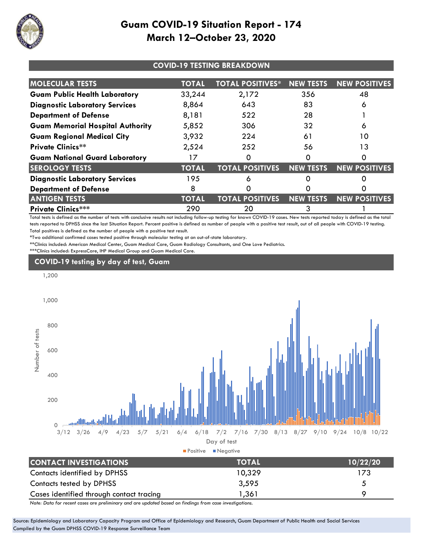

| <b>COVID-19 TESTING BREAKDOWN</b>       |              |                         |                  |                      |  |
|-----------------------------------------|--------------|-------------------------|------------------|----------------------|--|
| <b>MOLECULAR TESTS</b>                  | <b>TOTAL</b> | <b>TOTAL POSITIVES*</b> | <b>NEW TESTS</b> | <b>NEW POSITIVES</b> |  |
| <b>Guam Public Health Laboratory</b>    | 33,244       | 2,172                   | 356              | 48                   |  |
| <b>Diagnostic Laboratory Services</b>   | 8,864        | 643                     | 83               | 6                    |  |
| <b>Department of Defense</b>            | 8,181        | 522                     | 28               |                      |  |
| <b>Guam Memorial Hospital Authority</b> | 5,852        | 306                     | 32               | 6                    |  |
| <b>Guam Regional Medical City</b>       | 3,932        | 224                     | 61               | 10                   |  |
| <b>Private Clinics**</b>                | 2,524        | 252                     | 56               | 13                   |  |
| <b>Guam National Guard Laboratory</b>   |              | O                       |                  |                      |  |
| <b>SEROLOGY TESTS</b>                   | <b>TOTAL</b> | <b>TOTAL POSITIVES</b>  | <b>NEW TESTS</b> | <b>NEW POSITIVES</b> |  |
| <b>Diagnostic Laboratory Services</b>   | 195          | 6                       |                  |                      |  |
| <b>Department of Defense</b>            | 8            |                         |                  |                      |  |
| <b>ANTIGEN TESTS</b>                    | <b>TOTAL</b> | <b>TOTAL POSITIVES</b>  | <b>NEW TESTS</b> | <b>NEW POSITIVES</b> |  |
| <b>Private Clinics***</b>               | 290          | 20                      | 3                |                      |  |

Total tests is defined as the number of tests with conclusive results not including follow-up testing for known COVID-19 cases. New tests reported today is defined as the total tests reported to DPHSS since the last Situation Report. Percent positive is defined as number of people with a positive test result, out of all people with COVID-19 testing. Total positives is defined as the number of people with a positive test result.

\*Two additional confirmed cases tested positive through molecular testing at an out-of-state laboratory.

\*\*Clinics included: American Medical Center, Guam Medical Care, Guam Radiology Consultants, and One Love Pediatrics.

\*\*\*Clinics included: ExpressCare, IHP Medical Group and Guam Medical Care.

#### **COVID-19 testing by day of test, Guam**



*Note: Data for recent cases are preliminary and are updated based on findings from case investigations.*

Source: Epidemiology and Laboratory Capacity Program and Office of Epidemiology and Research, Guam Department of Public Health and Social Services Compiled by the Guam DPHSS COVID-19 Response Surveillance Team

Cases identified through contact tracing 1,361 9